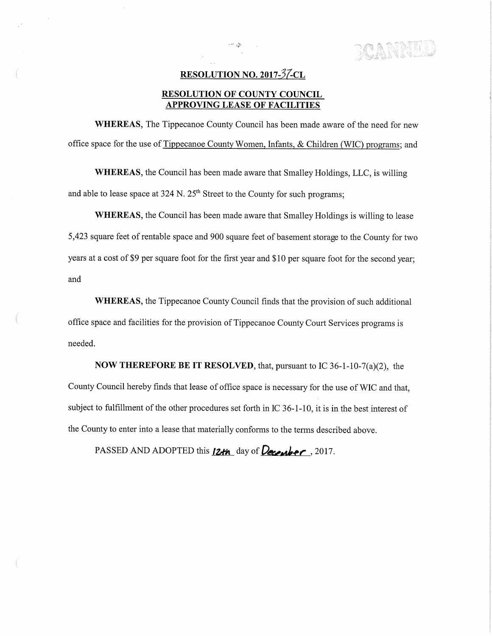**BOANNINE** 

## RESOLUTION NO. 2017-37-CL

 $\mathcal{L}_{\text{max}}$  . Let

## RESOLUTION OF COUNTY COUNCIL APPROVING LEASE OF FACILITIES

WHEREAS, The Tippecanoe County Council has been made aware of the need for new office space for the use of Tippecanoe County Women, Infants, & Children (WIC) programs; and

WHEREAS, the Council has been made aware that Smalley Holdings, LLC, is willing and able to lease space at 324 N.  $25<sup>th</sup>$  Street to the County for such programs;

WHEREAS, the Council has been made aware that Smalley Holdings is willing to lease 5,423 square feet ofrentable space and <sup>900</sup> square feet of basement storage to the County for two years at a cost of \$9 per square foot for the first year and \$10 per square foot for the second year; and

WHEREAS, the Tippecanoe County Council finds that the provision of such additional office space and facilities for the provision of Tippecanoe County Court Services programs is needed.

**NOW THEREFORE BE IT RESOLVED,** that, pursuant to IC 36-1-10-7(a)(2), the County Council hereby finds that lease of office space is necessary for the use of W1C and that, subject to fulfillment of the other procedures set forth in IC 36-1—10, it is in the best interest of the County to enter into <sup>a</sup> lease that materially conforms to the terms described above.

PASSED AND ADOPTED this  $12+n$  day of December, 2017.